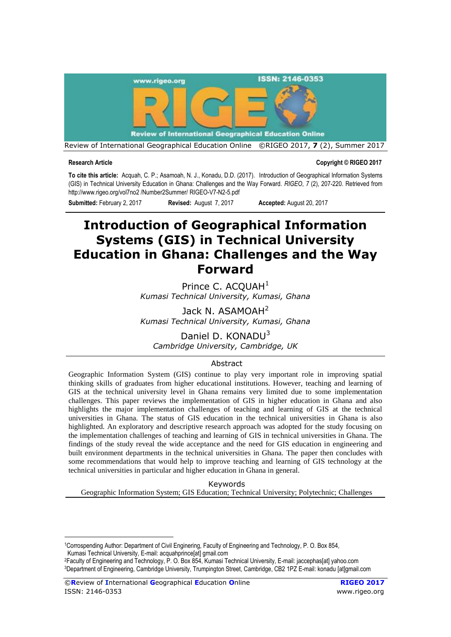

Review of International Geographical Education Online ©RIGEO 2017, **7** (2), Summer 2017

1

**Research Article Copyright © RIGEO 2017**

**To cite this article:** Acquah, C. P.; Asamoah, N. J., Konadu, D.D. (2017). Introduction of Geographical Information Systems (GIS) in Technical University Education in Ghana: Challenges and the Way Forward. *RIGEO*, *7* (2), 207-220. Retrieved from [http://www.rigeo.org/vol7no2 /Number2Summer/](http://www.rigeo.org/vol7no2%20/Number2Summer/) RIGEO-V7-N2-5.pdf

**Submitted:** February 2, 2017 **Revised:** August 7, 2017 **Accepted:** August 20, 2017

# **Introduction of Geographical Information Systems (GIS) in Technical University Education in Ghana: Challenges and the Way Forward**

Prince C. ACOUAH<sup>1</sup> *Kumasi Technical University, Kumasi, Ghana* 

Jack N. ASAMOAH<sup>2</sup> *Kumasi Technical University, Kumasi, Ghana* 

Daniel D. KONADU<sup>3</sup> *Cambridge University, Cambridge, UK*

### Abstract

Geographic Information System (GIS) continue to play very important role in improving spatial thinking skills of graduates from higher educational institutions. However, teaching and learning of GIS at the technical university level in Ghana remains very limited due to some implementation challenges. This paper reviews the implementation of GIS in higher education in Ghana and also highlights the major implementation challenges of teaching and learning of GIS at the technical universities in Ghana. The status of GIS education in the technical universities in Ghana is also highlighted. An exploratory and descriptive research approach was adopted for the study focusing on the implementation challenges of teaching and learning of GIS in technical universities in Ghana. The findings of the study reveal the wide acceptance and the need for GIS education in engineering and built environment departments in the technical universities in Ghana. The paper then concludes with some recommendations that would help to improve teaching and learning of GIS technology at the technical universities in particular and higher education in Ghana in general.

Keywords Geographic Information System; GIS Education; Technical University; Polytechnic; Challenges

<sup>1</sup>Corrospending Author: Department of Civil Enginering, Faculty of Engineering and Technology, P. O. Box 854, Kumasi Technical University, E-mail: acquahprince[at] gmail.com

<sup>2</sup>Faculty of Engineering and Technology, P. O. Box 854, Kumasi Technical University, E-mail: jaccephas[at] yahoo.com <sup>3</sup>Department of Engineering, Cambridge University, Trumpington Street, Cambridge, CB2 1PZ E-mail: konadu [at]gmail.com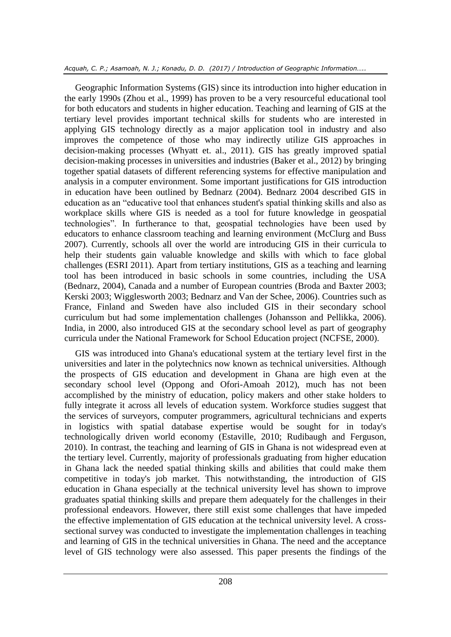Geographic Information Systems (GIS) since its introduction into higher education in the early 1990s (Zhou et al., 1999) has proven to be a very resourceful educational tool for both educators and students in higher education. Teaching and learning of GIS at the tertiary level provides important technical skills for students who are interested in applying GIS technology directly as a major application tool in industry and also improves the competence of those who may indirectly utilize GIS approaches in decision-making processes (Whyatt et. al., 2011). GIS has greatly improved spatial decision-making processes in universities and industries (Baker et al., 2012) by bringing together spatial datasets of different referencing systems for effective manipulation and analysis in a computer environment. Some important justifications for GIS introduction in education have been outlined by Bednarz (2004). Bednarz 2004 described GIS in education as an "educative tool that enhances student's spatial thinking skills and also as workplace skills where GIS is needed as a tool for future knowledge in geospatial technologies". In furtherance to that, geospatial technologies have been used by educators to enhance classroom teaching and learning environment (McClurg and Buss 2007). Currently, schools all over the world are introducing GIS in their curricula to help their students gain valuable knowledge and skills with which to face global challenges (ESRI 2011). Apart from tertiary institutions, GIS as a teaching and learning tool has been introduced in basic schools in some countries, including the USA (Bednarz, 2004), Canada and a number of European countries (Broda and Baxter 2003; Kerski 2003; Wigglesworth 2003; Bednarz and Van der Schee, 2006). Countries such as France, Finland and Sweden have also included GIS in their secondary school curriculum but had some implementation challenges (Johansson and Pellikka, 2006). India, in 2000, also introduced GIS at the secondary school level as part of geography curricula under the National Framework for School Education project (NCFSE, 2000).

GIS was introduced into Ghana's educational system at the tertiary level first in the universities and later in the polytechnics now known as technical universities. Although the prospects of GIS education and development in Ghana are high even at the secondary school level (Oppong and Ofori-Amoah 2012), much has not been accomplished by the ministry of education, policy makers and other stake holders to fully integrate it across all levels of education system. Workforce studies suggest that the services of surveyors, computer programmers, agricultural technicians and experts in logistics with spatial database expertise would be sought for in today's technologically driven world economy (Estaville, 2010; Rudibaugh and Ferguson, 2010). In contrast, the teaching and learning of GIS in Ghana is not widespread even at the tertiary level. Currently, majority of professionals graduating from higher education in Ghana lack the needed spatial thinking skills and abilities that could make them competitive in today's job market. This notwithstanding, the introduction of GIS education in Ghana especially at the technical university level has shown to improve graduates spatial thinking skills and prepare them adequately for the challenges in their professional endeavors. However, there still exist some challenges that have impeded the effective implementation of GIS education at the technical university level. A crosssectional survey was conducted to investigate the implementation challenges in teaching and learning of GIS in the technical universities in Ghana. The need and the acceptance level of GIS technology were also assessed. This paper presents the findings of the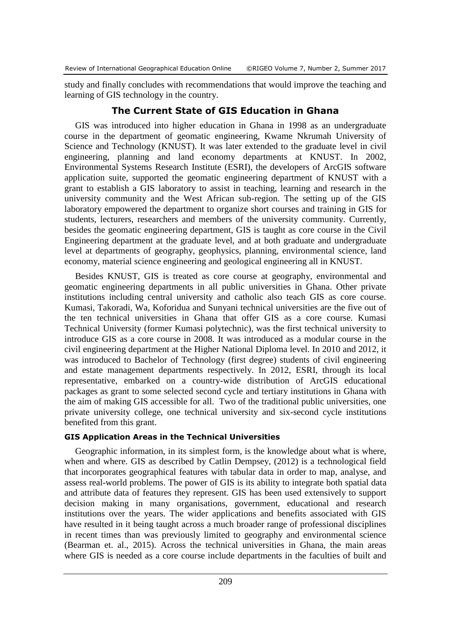study and finally concludes with recommendations that would improve the teaching and learning of GIS technology in the country.

# **The Current State of GIS Education in Ghana**

GIS was introduced into higher education in Ghana in 1998 as an undergraduate course in the department of geomatic engineering, Kwame Nkrumah University of Science and Technology (KNUST). It was later extended to the graduate level in civil engineering, planning and land economy departments at KNUST. In 2002, Environmental Systems Research Institute (ESRI), the developers of ArcGIS software application suite, supported the geomatic engineering department of KNUST with a grant to establish a GIS laboratory to assist in teaching, learning and research in the university community and the West African sub-region. The setting up of the GIS laboratory empowered the department to organize short courses and training in GIS for students, lecturers, researchers and members of the university community. Currently, besides the geomatic engineering department, GIS is taught as core course in the Civil Engineering department at the graduate level, and at both graduate and undergraduate level at departments of geography, geophysics, planning, environmental science, land economy, material science engineering and geological engineering all in KNUST.

Besides KNUST, GIS is treated as core course at geography, environmental and geomatic engineering departments in all public universities in Ghana. Other private institutions including central university and catholic also teach GIS as core course. Kumasi, Takoradi, Wa, Koforidua and Sunyani technical universities are the five out of the ten technical universities in Ghana that offer GIS as a core course. Kumasi Technical University (former Kumasi polytechnic), was the first technical university to introduce GIS as a core course in 2008. It was introduced as a modular course in the civil engineering department at the Higher National Diploma level. In 2010 and 2012, it was introduced to Bachelor of Technology (first degree) students of civil engineering and estate management departments respectively. In 2012, ESRI, through its local representative, embarked on a country-wide distribution of ArcGIS educational packages as grant to some selected second cycle and tertiary institutions in Ghana with the aim of making GIS accessible for all. Two of the traditional public universities, one private university college, one technical university and six-second cycle institutions benefited from this grant.

### **GIS Application Areas in the Technical Universities**

Geographic information, in its simplest form, is the knowledge about what is where, when and where. GIS as described by Catlin Dempsey, (2012) is a technological field that incorporates geographical features with tabular data in order to map, analyse, and assess real-world problems. The power of GIS is its ability to integrate both spatial data and attribute data of features they represent. GIS has been used extensively to support decision making in many organisations, government, educational and research institutions over the years. The wider applications and benefits associated with GIS have resulted in it being taught across a much broader range of professional disciplines in recent times than was previously limited to geography and environmental science (Bearman et. al., 2015). Across the technical universities in Ghana, the main areas where GIS is needed as a core course include departments in the faculties of built and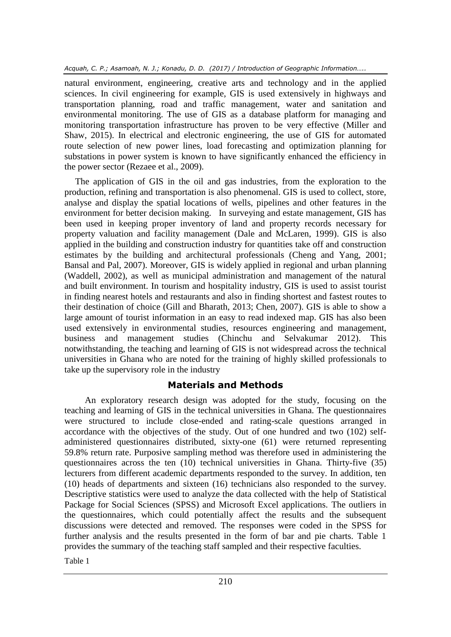natural environment, engineering, creative arts and technology and in the applied sciences. In civil engineering for example, GIS is used extensively in highways and transportation planning, road and traffic management, water and sanitation and environmental monitoring. The use of GIS as a database platform for managing and monitoring transportation infrastructure has proven to be very effective (Miller and Shaw, 2015). In electrical and electronic engineering, the use of GIS for automated route selection of new power lines, load forecasting and optimization planning for substations in power system is known to have significantly enhanced the efficiency in the power sector (Rezaee et al., 2009).

The application of GIS in the oil and gas industries, from the exploration to the production, refining and transportation is also phenomenal. GIS is used to collect, store, analyse and display the spatial locations of wells, pipelines and other features in the environment for better decision making. In surveying and estate management, GIS has been used in keeping proper inventory of land and property records necessary for property valuation and facility management (Dale and McLaren, 1999). GIS is also applied in the building and construction industry for quantities take off and construction estimates by the building and architectural professionals (Cheng and Yang, 2001; Bansal and Pal, 2007). Moreover, GIS is widely applied in regional and urban planning (Waddell, 2002), as well as municipal administration and management of the natural and built environment. In tourism and hospitality industry, GIS is used to assist tourist in finding nearest hotels and restaurants and also in finding shortest and fastest routes to their destination of choice (Gill and Bharath, 2013; Chen, 2007). GIS is able to show a large amount of tourist information in an easy to read indexed map. GIS has also been used extensively in environmental studies, resources engineering and management, business and management studies (Chinchu and Selvakumar 2012). This notwithstanding, the teaching and learning of GIS is not widespread across the technical universities in Ghana who are noted for the training of highly skilled professionals to take up the supervisory role in the industry

# **Materials and Methods**

An exploratory research design was adopted for the study, focusing on the teaching and learning of GIS in the technical universities in Ghana. The questionnaires were structured to include close-ended and rating-scale questions arranged in accordance with the objectives of the study. Out of one hundred and two (102) selfadministered questionnaires distributed, sixty-one (61) were returned representing 59.8% return rate. Purposive sampling method was therefore used in administering the questionnaires across the ten (10) technical universities in Ghana. Thirty-five (35) lecturers from different academic departments responded to the survey. In addition, ten (10) heads of departments and sixteen (16) technicians also responded to the survey. Descriptive statistics were used to analyze the data collected with the help of Statistical Package for Social Sciences (SPSS) and Microsoft Excel applications. The outliers in the questionnaires, which could potentially affect the results and the subsequent discussions were detected and removed. The responses were coded in the SPSS for further analysis and the results presented in the form of bar and pie charts. Table 1 provides the summary of the teaching staff sampled and their respective faculties.

Table 1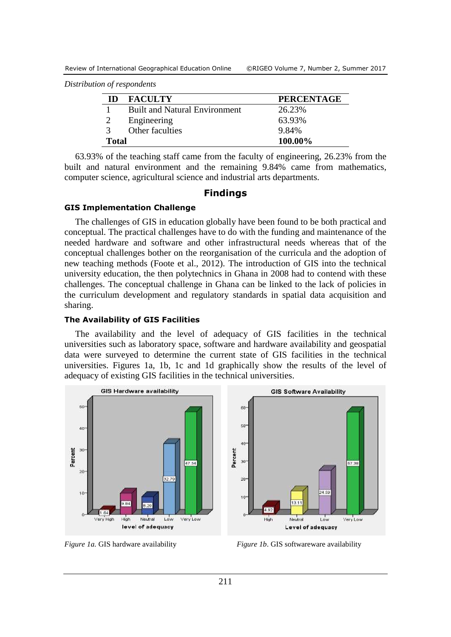*Distribution of respondents* 

| ID            | <b>FACULTY</b>                       | <b>PERCENTAGE</b> |
|---------------|--------------------------------------|-------------------|
|               | <b>Built and Natural Environment</b> | 26.23%            |
|               | Engineering                          | 63.93%            |
| $\mathcal{R}$ | Other faculties                      | 9.84%             |
| <b>Total</b>  |                                      | 100.00%           |

63.93% of the teaching staff came from the faculty of engineering, 26.23% from the built and natural environment and the remaining 9.84% came from mathematics, computer science, agricultural science and industrial arts departments.

#### **Findings**

#### **GIS Implementation Challenge**

The challenges of GIS in education globally have been found to be both practical and conceptual. The practical challenges have to do with the funding and maintenance of the needed hardware and software and other infrastructural needs whereas that of the conceptual challenges bother on the reorganisation of the curricula and the adoption of new teaching methods (Foote et al., 2012). The introduction of GIS into the technical university education, the then polytechnics in Ghana in 2008 had to contend with these challenges. The conceptual challenge in Ghana can be linked to the lack of policies in the curriculum development and regulatory standards in spatial data acquisition and sharing.

#### **The Availability of GIS Facilities**

The availability and the level of adequacy of GIS facilities in the technical universities such as laboratory space, software and hardware availability and geospatial data were surveyed to determine the current state of GIS facilities in the technical universities. Figures 1a, 1b, 1c and 1d graphically show the results of the level of adequacy of existing GIS facilities in the technical universities.



*Figure 1a.* GIS hardware availability *Figure 1b*. GIS softwareware availability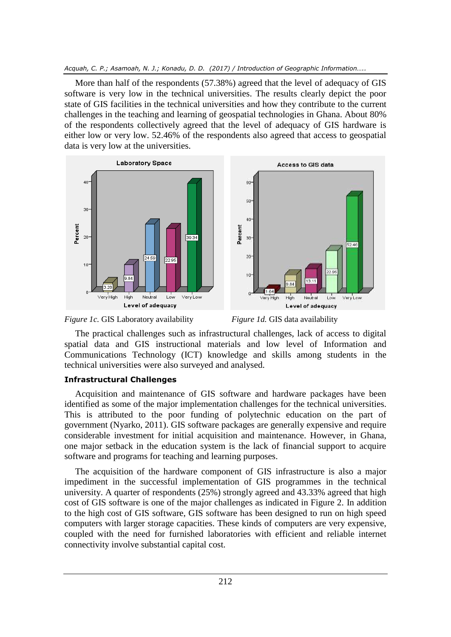More than half of the respondents (57.38%) agreed that the level of adequacy of GIS software is very low in the technical universities. The results clearly depict the poor state of GIS facilities in the technical universities and how they contribute to the current challenges in the teaching and learning of geospatial technologies in Ghana. About 80% of the respondents collectively agreed that the level of adequacy of GIS hardware is either low or very low. 52.46% of the respondents also agreed that access to geospatial data is very low at the universities.





The practical challenges such as infrastructural challenges, lack of access to digital spatial data and GIS instructional materials and low level of Information and Communications Technology (ICT) knowledge and skills among students in the technical universities were also surveyed and analysed.

# **Infrastructural Challenges**

Acquisition and maintenance of GIS software and hardware packages have been identified as some of the major implementation challenges for the technical universities. This is attributed to the poor funding of polytechnic education on the part of government (Nyarko, 2011). GIS software packages are generally expensive and require considerable investment for initial acquisition and maintenance. However, in Ghana, one major setback in the education system is the lack of financial support to acquire software and programs for teaching and learning purposes.

The acquisition of the hardware component of GIS infrastructure is also a major impediment in the successful implementation of GIS programmes in the technical university. A quarter of respondents (25%) strongly agreed and 43.33% agreed that high cost of GIS software is one of the major challenges as indicated in Figure 2. In addition to the high cost of GIS software, GIS software has been designed to run on high speed computers with larger storage capacities. These kinds of computers are very expensive, coupled with the need for furnished laboratories with efficient and reliable internet connectivity involve substantial capital cost.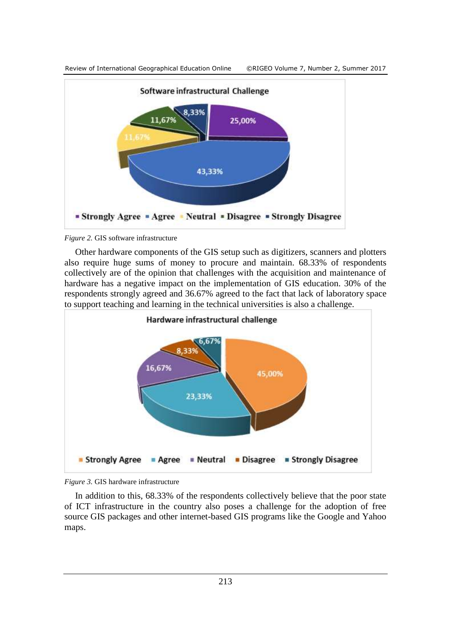

*Figure 2.* GIS software infrastructure

Other hardware components of the GIS setup such as digitizers, scanners and plotters also require huge sums of money to procure and maintain. 68.33% of respondents collectively are of the opinion that challenges with the acquisition and maintenance of hardware has a negative impact on the implementation of GIS education. 30% of the respondents strongly agreed and 36.67% agreed to the fact that lack of laboratory space to support teaching and learning in the technical universities is also a challenge.



*Figure 3.* GIS hardware infrastructure

In addition to this, 68.33% of the respondents collectively believe that the poor state of ICT infrastructure in the country also poses a challenge for the adoption of free source GIS packages and other internet-based GIS programs like the Google and Yahoo maps.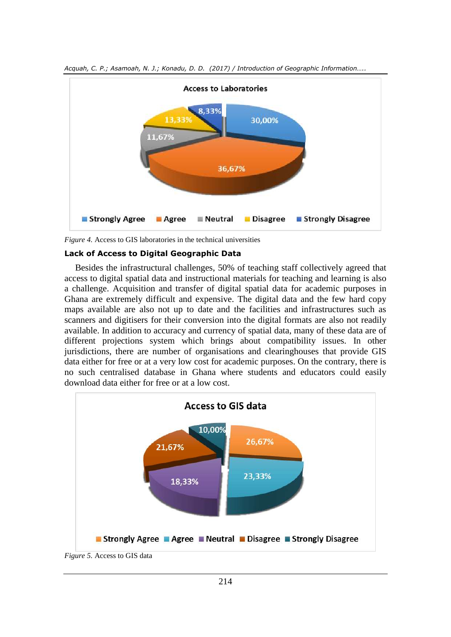

*Acquah, C. P.; Asamoah, N. J.; Konadu, D. D. (2017) / Introduction of Geographic Information…..*

*Figure 4.* Access to GIS laboratories in the technical universities

#### **Lack of Access to Digital Geographic Data**

Besides the infrastructural challenges, 50% of teaching staff collectively agreed that access to digital spatial data and instructional materials for teaching and learning is also a challenge. Acquisition and transfer of digital spatial data for academic purposes in Ghana are extremely difficult and expensive. The digital data and the few hard copy maps available are also not up to date and the facilities and infrastructures such as scanners and digitisers for their conversion into the digital formats are also not readily available. In addition to accuracy and currency of spatial data, many of these data are of different projections system which brings about compatibility issues. In other jurisdictions, there are number of organisations and clearinghouses that provide GIS data either for free or at a very low cost for academic purposes. On the contrary, there is no such centralised database in Ghana where students and educators could easily download data either for free or at a low cost.

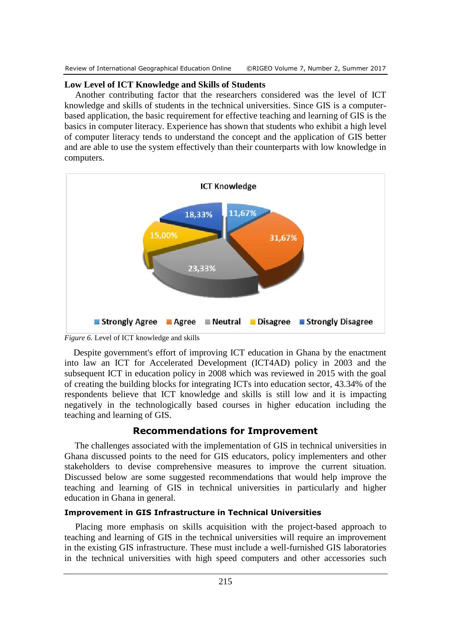Review of International Geographical Education Online ©RIGEO Volume 7, Number 2, Summer 2017

# **Low Level of ICT Knowledge and Skills of Students**

Another contributing factor that the researchers considered was the level of ICT knowledge and skills of students in the technical universities. Since GIS is a computerbased application, the basic requirement for effective teaching and learning of GIS is the basics in computer literacy. Experience has shown that students who exhibit a high level of computer literacy tends to understand the concept and the application of GIS better and are able to use the system effectively than their counterparts with low knowledge in computers.



*Figure 6.* Level of ICT knowledge and skills

 Despite government's effort of improving ICT education in Ghana by the enactment into law an ICT for Accelerated Development (ICT4AD) policy in 2003 and the subsequent ICT in education policy in 2008 which was reviewed in 2015 with the goal of creating the building blocks for integrating ICTs into education sector, 43.34% of the respondents believe that ICT knowledge and skills is still low and it is impacting negatively in the technologically based courses in higher education including the teaching and learning of GIS.

# **Recommendations for Improvement**

The challenges associated with the implementation of GIS in technical universities in Ghana discussed points to the need for GIS educators, policy implementers and other stakeholders to devise comprehensive measures to improve the current situation. Discussed below are some suggested recommendations that would help improve the teaching and learning of GIS in technical universities in particularly and higher education in Ghana in general.

# **Improvement in GIS Infrastructure in Technical Universities**

Placing more emphasis on skills acquisition with the project-based approach to teaching and learning of GIS in the technical universities will require an improvement in the existing GIS infrastructure. These must include a well-furnished GIS laboratories in the technical universities with high speed computers and other accessories such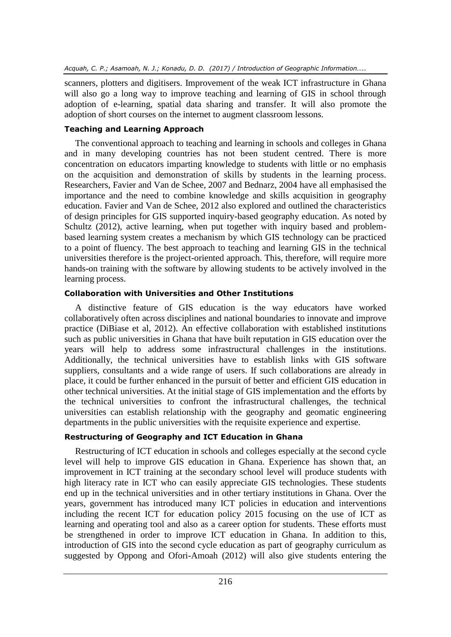scanners, plotters and digitisers. Improvement of the weak ICT infrastructure in Ghana will also go a long way to improve teaching and learning of GIS in school through adoption of e-learning, spatial data sharing and transfer. It will also promote the adoption of short courses on the internet to augment classroom lessons.

# **Teaching and Learning Approach**

The conventional approach to teaching and learning in schools and colleges in Ghana and in many developing countries has not been student centred. There is more concentration on educators imparting knowledge to students with little or no emphasis on the acquisition and demonstration of skills by students in the learning process. Researchers, Favier and Van de Schee, 2007 and Bednarz, 2004 have all emphasised the importance and the need to combine knowledge and skills acquisition in geography education. Favier and Van de Schee, 2012 also explored and outlined the characteristics of design principles for GIS supported inquiry-based geography education. As noted by Schultz (2012), active learning, when put together with inquiry based and problembased learning system creates a mechanism by which GIS technology can be practiced to a point of fluency. The best approach to teaching and learning GIS in the technical universities therefore is the project-oriented approach. This, therefore, will require more hands-on training with the software by allowing students to be actively involved in the learning process.

# **Collaboration with Universities and Other Institutions**

A distinctive feature of GIS education is the way educators have worked collaboratively often across disciplines and national boundaries to innovate and improve practice (DiBiase et al, 2012). An effective collaboration with established institutions such as public universities in Ghana that have built reputation in GIS education over the years will help to address some infrastructural challenges in the institutions. Additionally, the technical universities have to establish links with GIS software suppliers, consultants and a wide range of users. If such collaborations are already in place, it could be further enhanced in the pursuit of better and efficient GIS education in other technical universities. At the initial stage of GIS implementation and the efforts by the technical universities to confront the infrastructural challenges, the technical universities can establish relationship with the geography and geomatic engineering departments in the public universities with the requisite experience and expertise.

# **Restructuring of Geography and ICT Education in Ghana**

Restructuring of ICT education in schools and colleges especially at the second cycle level will help to improve GIS education in Ghana. Experience has shown that, an improvement in ICT training at the secondary school level will produce students with high literacy rate in ICT who can easily appreciate GIS technologies. These students end up in the technical universities and in other tertiary institutions in Ghana. Over the years, government has introduced many ICT policies in education and interventions including the recent ICT for education policy 2015 focusing on the use of ICT as learning and operating tool and also as a career option for students. These efforts must be strengthened in order to improve ICT education in Ghana. In addition to this, introduction of GIS into the second cycle education as part of geography curriculum as suggested by Oppong and Ofori-Amoah (2012) will also give students entering the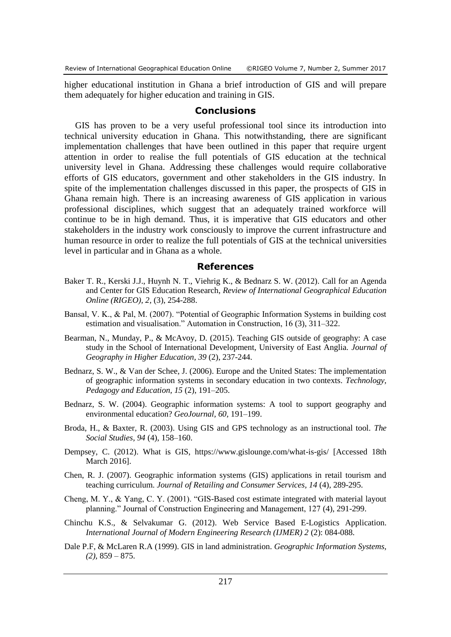higher educational institution in Ghana a brief introduction of GIS and will prepare them adequately for higher education and training in GIS.

#### **Conclusions**

GIS has proven to be a very useful professional tool since its introduction into technical university education in Ghana. This notwithstanding, there are significant implementation challenges that have been outlined in this paper that require urgent attention in order to realise the full potentials of GIS education at the technical university level in Ghana. Addressing these challenges would require collaborative efforts of GIS educators, government and other stakeholders in the GIS industry. In spite of the implementation challenges discussed in this paper, the prospects of GIS in Ghana remain high. There is an increasing awareness of GIS application in various professional disciplines, which suggest that an adequately trained workforce will continue to be in high demand. Thus, it is imperative that GIS educators and other stakeholders in the industry work consciously to improve the current infrastructure and human resource in order to realize the full potentials of GIS at the technical universities level in particular and in Ghana as a whole.

#### **References**

- Baker T. R., Kerski J.J., Huynh N. T., Viehrig K., & Bednarz S. W. (2012). Call for an Agenda and Center for GIS Education Research, *Review of International Geographical Education Online (RIGEO), 2,* (3), 254-288.
- Bansal, V. K., & Pal, M. (2007). "Potential of Geographic Information Systems in building cost estimation and visualisation." Automation in Construction, 16 (3), 311–322.
- Bearman, N., Munday, P., & McAvoy, D. (2015). Teaching GIS outside of geography: A case study in the School of International Development, University of East Anglia. *Journal of Geography in Higher Education, 39* (2), 237-244.
- Bednarz, S. W., & Van der Schee, J. (2006). Europe and the United States: The implementation of geographic information systems in secondary education in two contexts. *Technology, Pedagogy and Education, 15* (2), 191–205.
- Bednarz, S. W. (2004). Geographic information systems: A tool to support geography and environmental education? *GeoJournal, 60,* 191–199.
- Broda, H., & Baxter, R. (2003). Using GIS and GPS technology as an instructional tool. *The Social Studies, 94* (4), 158–160.
- Dempsey, C. (2012). What is GIS, https://www.gislounge.com/what-is-gis/ [Accessed 18th March 2016].
- Chen, R. J. (2007). Geographic information systems (GIS) applications in retail tourism and teaching curriculum. *Journal of Retailing and Consumer Services, 14* (4), 289-295.
- Cheng, M. Y., & Yang, C. Y. (2001). "GIS-Based cost estimate integrated with material layout planning." Journal of Construction Engineering and Management, 127 (4), 291-299.
- Chinchu K.S., & Selvakumar G. (2012). Web Service Based E-Logistics Application. *International Journal of Modern Engineering Research (IJMER) 2* (2): 084-088.
- Dale P.F, & McLaren R.A (1999). GIS in land administration. *Geographic Information Systems, (2),* 859 – 875.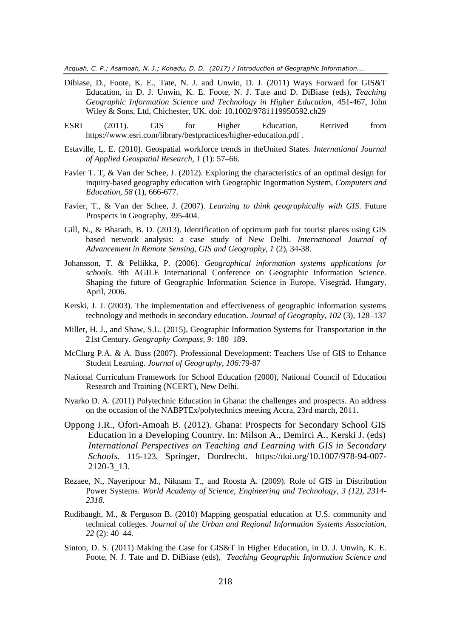- Dibiase, D., Foote, K. E., Tate, N. J. and Unwin, D. J. (2011) Ways Forward for GIS&T Education, in D. J. Unwin, K. E. Foote, N. J. Tate and D. DiBiase (eds), *Teaching Geographic Information Science and Technology in Higher Education*, 451-467, John Wiley & Sons, Ltd, Chichester, UK. doi: 10.1002/9781119950592.ch29
- ESRI (2011). GIS for Higher Education, Retrived from https://www.esri.com/library/bestpractices/higher-education.pdf .
- Estaville, L. E. (2010). Geospatial workforce trends in theUnited States. *International Journal of Applied Geospatial Research, 1* (1): 57–66.
- Favier T. T, & Van der Schee, J. (2012). Exploring the characteristics of an optimal design for inquiry-based geography education with Geographic Ingormation System, *Computers and Education, 58* (1), 666-677.
- Favier, T., & Van der Schee, J. (2007). *Learning to think geographically with GIS*. Future Prospects in Geography, 395-404.
- Gill, N., & Bharath, B. D. (2013). Identification of optimum path for tourist places using GIS based network analysis: a case study of New Delhi. *International Journal of Advancement in Remote Sensing, GIS and Geography, 1* (2), 34-38.
- Johansson, T. & Pellikka, P. (2006). *Geographical information systems applications for schools*. 9th AGILE International Conference on Geographic Information Science. Shaping the future of Geographic Information Science in Europe, Visegrád, Hungary, April, 2006.
- Kerski, J. J. (2003). The implementation and effectiveness of geographic information systems technology and methods in secondary education. *Journal of Geography, 102* (3), 128–137
- Miller, H. J., and Shaw, S.L. (2015), Geographic Information Systems for Transportation in the 21st Century. *Geography Compass, 9:* 180–189.
- McClurg P.A. & A. Buss (2007). Professional Development: Teachers Use of GIS to Enhance Student Learning. *Journal of Geography, 106:*79-87
- National Curriculum Framework for School Education (2000), National Council of Education Research and Training (NCERT), New Delhi.
- Nyarko D. A. (2011) Polytechnic Education in Ghana: the challenges and prospects. An address on the occasion of the NABPTEx/polytechnics meeting Accra, 23rd march, 2011.
- Oppong J.R., Ofori-Amoah B. (2012). Ghana: Prospects for Secondary School GIS Education in a Developing Country. In: Milson A., Demirci A., Kerski J. (eds) *International Perspectives on Teaching and Learning with GIS in Secondary Schools.* 115-123, Springer, Dordrecht. [https://doi.org/10.1007/978-94-007-](https://doi.org/10.1007/978-94-007-2120-3_13) [2120-3\\_13.](https://doi.org/10.1007/978-94-007-2120-3_13)
- Rezaee, N., Nayeripour M., Niknam T., and Roosta A. (2009). Role of GIS in Distribution Power Systems. *World Academy of Science, Engineering and Technology, 3 (12), 2314- 2318.*
- Rudibaugh, M., & Ferguson B. (2010) Mapping geospatial education at U.S. community and technical colleges. *Journal of the Urban and Regional Information Systems Association, 22* (2): 40–44.
- Sinton, D. S. (2011) Making the Case for GIS&T in Higher Education, in D. J. Unwin, K. E. Foote, N. J. Tate and D. DiBiase (eds), *Teaching Geographic Information Science and*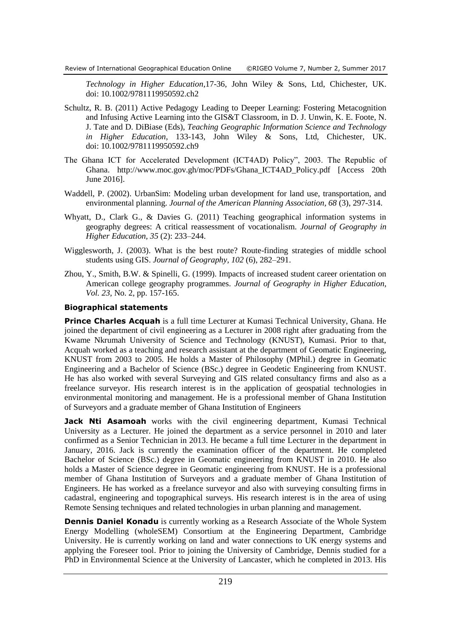*Technology in Higher Education*,17-36, John Wiley & Sons, Ltd, Chichester, UK. doi: 10.1002/9781119950592.ch2

- Schultz, R. B. (2011) Active Pedagogy Leading to Deeper Learning: Fostering Metacognition and Infusing Active Learning into the GIS&T Classroom, in D. J. Unwin, K. E. Foote, N. J. Tate and D. DiBiase (Eds), *Teaching Geographic Information Science and Technology in Higher Education*, 133-143, John Wiley & Sons, Ltd, Chichester, UK. doi: 10.1002/9781119950592.ch9
- The Ghana ICT for Accelerated Development (ICT4AD) Policy", 2003. The Republic of Ghana. http://www.moc.gov.gh/moc/PDFs/Ghana\_ICT4AD\_Policy.pdf [Access 20th June 2016].
- Waddell, P. (2002). UrbanSim: Modeling urban development for land use, transportation, and environmental planning. *Journal of the American Planning Association, 68* (3), 297-314.
- Whyatt, D., Clark G., & Davies G. (2011) Teaching geographical information systems in geography degrees: A critical reassessment of vocationalism. *Journal of Geography in Higher Education, 35* (2): 233–244.
- Wigglesworth, J. (2003). What is the best route? Route-finding strategies of middle school students using GIS. *Journal of Geography, 102* (6), 282–291.
- Zhou, Y., Smith, B.W. & Spinelli, G. (1999). Impacts of increased student career orientation on American college geography programmes. *Journal of Geography in Higher Education, Vol. 23,* No. 2, pp. 157-165.

#### **Biographical statements**

**Prince Charles Acquah** is a full time Lecturer at Kumasi Technical University, Ghana. He joined the department of civil engineering as a Lecturer in 2008 right after graduating from the Kwame Nkrumah University of Science and Technology (KNUST), Kumasi. Prior to that, Acquah worked as a teaching and research assistant at the department of Geomatic Engineering, KNUST from 2003 to 2005. He holds a Master of Philosophy (MPhil.) degree in Geomatic Engineering and a Bachelor of Science (BSc.) degree in Geodetic Engineering from KNUST. He has also worked with several Surveying and GIS related consultancy firms and also as a freelance surveyor. His research interest is in the application of geospatial technologies in environmental monitoring and management. He is a professional member of Ghana Institution of Surveyors and a graduate member of Ghana Institution of Engineers

**Jack Nti Asamoah** works with the civil engineering department, Kumasi Technical University as a Lecturer. He joined the department as a service personnel in 2010 and later confirmed as a Senior Technician in 2013. He became a full time Lecturer in the department in January, 2016. Jack is currently the examination officer of the department. He completed Bachelor of Science (BSc.) degree in Geomatic engineering from KNUST in 2010. He also holds a Master of Science degree in Geomatic engineering from KNUST. He is a professional member of Ghana Institution of Surveyors and a graduate member of Ghana Institution of Engineers. He has worked as a freelance surveyor and also with surveying consulting firms in cadastral, engineering and topographical surveys. His research interest is in the area of using Remote Sensing techniques and related technologies in urban planning and management.

**Dennis Daniel Konadu** is currently working as a Research Associate of the Whole System Energy Modelling (wholeSEM) Consortium at the Engineering Department, Cambridge University. He is currently working on land and water connections to UK energy systems and applying the Foreseer tool. Prior to joining the University of Cambridge, Dennis studied for a PhD in Environmental Science at the University of Lancaster, which he completed in 2013. His